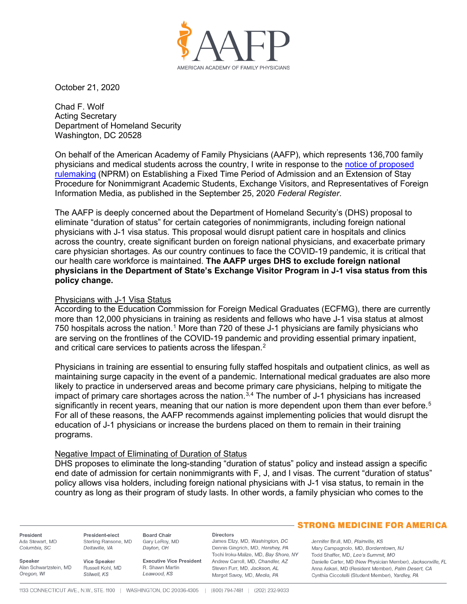

October 21, 2020

Chad F. Wolf Acting Secretary Department of Homeland Security Washington, DC 20528

On behalf of the American Academy of Family Physicians (AAFP), which represents 136,700 family physicians and medical students across the country, I write in response to the [notice of proposed](https://www.federalregister.gov/documents/2020/09/25/2020-20845/establishing-a-fixed-time-period-of-admission-and-an-extension-of-stay-procedure-for-nonimmigrant)  [rulemaking](https://www.federalregister.gov/documents/2020/09/25/2020-20845/establishing-a-fixed-time-period-of-admission-and-an-extension-of-stay-procedure-for-nonimmigrant) (NPRM) on Establishing a Fixed Time Period of Admission and an Extension of Stay Procedure for Nonimmigrant Academic Students, Exchange Visitors, and Representatives of Foreign Information Media, as published in the September 25, 2020 *Federal Register*.

The AAFP is deeply concerned about the Department of Homeland Security's (DHS) proposal to eliminate "duration of status" for certain categories of nonimmigrants, including foreign national physicians with J-1 visa status. This proposal would disrupt patient care in hospitals and clinics across the country, create significant burden on foreign national physicians, and exacerbate primary care physician shortages. As our country continues to face the COVID-19 pandemic, it is critical that our health care workforce is maintained. **The AAFP urges DHS to exclude foreign national physicians in the Department of State's Exchange Visitor Program in J-1 visa status from this policy change.**

# Physicians with J-1 Visa Status

According to the Education Commission for Foreign Medical Graduates (ECFMG), there are currently more than 12,000 physicians in training as residents and fellows who have J-1 visa status at almost 750 hospitals across the nation.<sup>[1](#page-2-0)</sup> More than 720 of these J-1 physicians are family physicians who are serving on the frontlines of the COVID-19 pandemic and providing essential primary inpatient, and critical care services to patients across the lifespan.<sup>[2](#page-2-1)</sup>

Physicians in training are essential to ensuring fully staffed hospitals and outpatient clinics, as well as maintaining surge capacity in the event of a pandemic. International medical graduates are also more likely to practice in underserved areas and become primary care physicians, helping to mitigate the impact of primary care shortages across the nation.<sup>[3](#page-2-2),[4](#page-2-3)</sup> The number of J-1 physicians has increased significantly in recent years, meaning that our nation is more dependent upon them than ever before.<sup>[5](#page-2-4)</sup> For all of these reasons, the AAFP recommends against implementing policies that would disrupt the education of J-1 physicians or increase the burdens placed on them to remain in their training programs.

# Negative Impact of Eliminating of Duration of Status

DHS proposes to eliminate the long-standing "duration of status" policy and instead assign a specific end date of admission for certain nonimmigrants with F, J, and I visas. The current "duration of status" policy allows visa holders, including foreign national physicians with J-1 visa status, to remain in the country as long as their program of study lasts. In other words, a family physician who comes to the

President Ada Stewart, MD Columbia, SC

President-elect Sterling Ransone, MD Deltaville, VA

Speaker Alan Schwartzstein, MD Oregon, WI

Vice Speaker Russell Kohl, MD Stilwell, KS

**Executive Vice President** R. Shawn Martin Leawood, KS

### **Directors**

James Ellzy, MD, Washington, DC Dennis Gingrich, MD, Hershey, PA Tochi Iroku-Malize, MD, Bay Shore, NY Andrew Carroll, MD, Chandler, AZ Steven Furr, MD, Jackson, AL Margot Savoy, MD, Media, PA

# **- STRONG MEDICINE FOR AMERICA**

Jennifer Brull, MD, Plainville, KS Mary Campagnolo, MD, Borderntown, NJ Todd Shaffer, MD, Lee's Summit, MO Danielle Carter, MD (New Physician Member), Jacksonville, FL Anna Askari, MD (Resident Member), Palm Desert, CA Cynthia Ciccotelli (Student Member), Yardley, PA

**Board Chair** 

Dayton, OH

Gary LeRoy, MD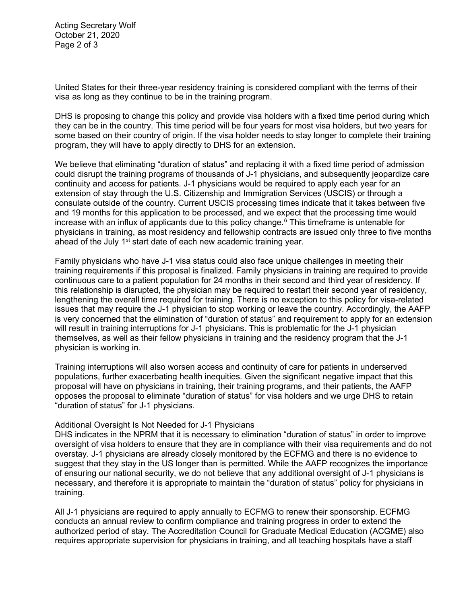Acting Secretary Wolf October 21, 2020 Page 2 of 3

United States for their three-year residency training is considered compliant with the terms of their visa as long as they continue to be in the training program.

DHS is proposing to change this policy and provide visa holders with a fixed time period during which they can be in the country. This time period will be four years for most visa holders, but two years for some based on their country of origin. If the visa holder needs to stay longer to complete their training program, they will have to apply directly to DHS for an extension.

We believe that eliminating "duration of status" and replacing it with a fixed time period of admission could disrupt the training programs of thousands of J-1 physicians, and subsequently jeopardize care continuity and access for patients. J-1 physicians would be required to apply each year for an extension of stay through the U.S. Citizenship and Immigration Services (USCIS) or through a consulate outside of the country. Current USCIS processing times indicate that it takes between five and 19 months for this application to be processed, and we expect that the processing time would increase with an influx of applicants due to this policy change. $6$  This timeframe is untenable for physicians in training, as most residency and fellowship contracts are issued only three to five months ahead of the July 1<sup>st</sup> start date of each new academic training year.

Family physicians who have J-1 visa status could also face unique challenges in meeting their training requirements if this proposal is finalized. Family physicians in training are required to provide continuous care to a patient population for 24 months in their second and third year of residency. If this relationship is disrupted, the physician may be required to restart their second year of residency, lengthening the overall time required for training. There is no exception to this policy for visa-related issues that may require the J-1 physician to stop working or leave the country. Accordingly, the AAFP is very concerned that the elimination of "duration of status" and requirement to apply for an extension will result in training interruptions for J-1 physicians. This is problematic for the J-1 physician themselves, as well as their fellow physicians in training and the residency program that the J-1 physician is working in.

Training interruptions will also worsen access and continuity of care for patients in underserved populations, further exacerbating health inequities. Given the significant negative impact that this proposal will have on physicians in training, their training programs, and their patients, the AAFP opposes the proposal to eliminate "duration of status" for visa holders and we urge DHS to retain "duration of status" for J-1 physicians.

# Additional Oversight Is Not Needed for J-1 Physicians

DHS indicates in the NPRM that it is necessary to elimination "duration of status" in order to improve oversight of visa holders to ensure that they are in compliance with their visa requirements and do not overstay. J-1 physicians are already closely monitored by the ECFMG and there is no evidence to suggest that they stay in the US longer than is permitted. While the AAFP recognizes the importance of ensuring our national security, we do not believe that any additional oversight of J-1 physicians is necessary, and therefore it is appropriate to maintain the "duration of status" policy for physicians in training.

All J-1 physicians are required to apply annually to ECFMG to renew their sponsorship. ECFMG conducts an annual review to confirm compliance and training progress in order to extend the authorized period of stay. The Accreditation Council for Graduate Medical Education (ACGME) also requires appropriate supervision for physicians in training, and all teaching hospitals have a staff